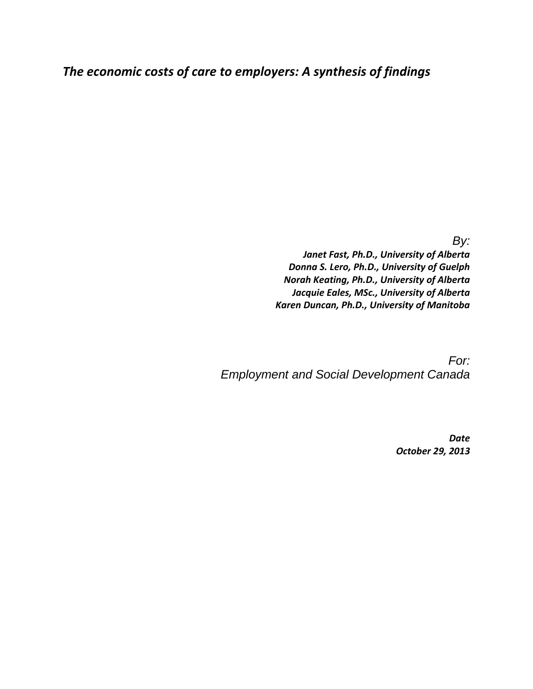# *The economic costs of care to employers: A synthesis of findings*

*By:*

*Janet Fast, Ph.D., University of Alberta Donna S. Lero, Ph.D., University of Guelph Norah Keating, Ph.D., University of Alberta Jacquie Eales, MSc., University of Alberta Karen Duncan, Ph.D., University of Manitoba*

*For: Employment and Social Development Canada*

> *Date October 29, 2013*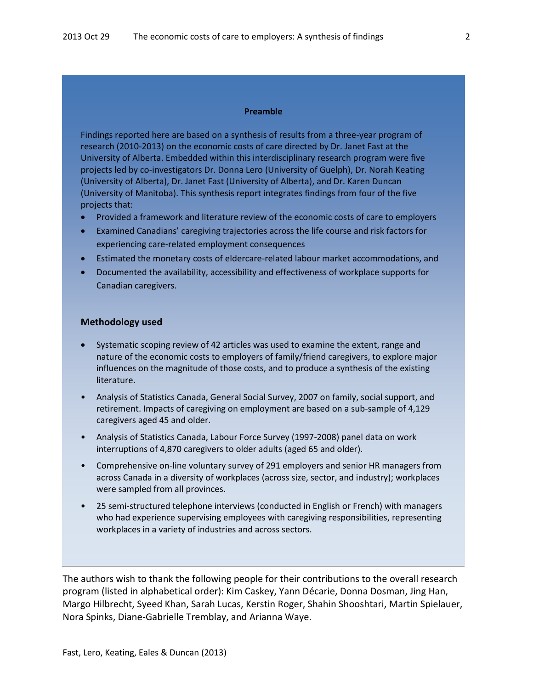#### **Preamble**

Findings reported here are based on a synthesis of results from a three-year program of research (2010-2013) on the economic costs of care directed by Dr. Janet Fast at the University of Alberta. Embedded within this interdisciplinary research program were five projects led by co-investigators Dr. Donna Lero (University of Guelph), Dr. Norah Keating (University of Alberta), Dr. Janet Fast (University of Alberta), and Dr. Karen Duncan (University of Manitoba). This synthesis report integrates findings from four of the five projects that:

- Provided a framework and literature review of the economic costs of care to employers
- Examined Canadians' caregiving trajectories across the life course and risk factors for experiencing care-related employment consequences
- Estimated the monetary costs of eldercare-related labour market accommodations, and
- Documented the availability, accessibility and effectiveness of workplace supports for Canadian caregivers.

#### **Methodology used**

- Systematic scoping review of 42 articles was used to examine the extent, range and nature of the economic costs to employers of family/friend caregivers, to explore major influences on the magnitude of those costs, and to produce a synthesis of the existing literature.
- Analysis of Statistics Canada, General Social Survey, 2007 on family, social support, and retirement. Impacts of caregiving on employment are based on a sub-sample of 4,129 caregivers aged 45 and older.
- Analysis of Statistics Canada, Labour Force Survey (1997-2008) panel data on work interruptions of 4,870 caregivers to older adults (aged 65 and older).
- Comprehensive on-line voluntary survey of 291 employers and senior HR managers from across Canada in a diversity of workplaces (across size, sector, and industry); workplaces were sampled from all provinces.
- 25 semi-structured telephone interviews (conducted in English or French) with managers who had experience supervising employees with caregiving responsibilities, representing workplaces in a variety of industries and across sectors.

The authors wish to thank the following people for their contributions to the overall research program (listed in alphabetical order): Kim Caskey, Yann Décarie, Donna Dosman, Jing Han, Margo Hilbrecht, Syeed Khan, Sarah Lucas, Kerstin Roger, Shahin Shooshtari, Martin Spielauer, Nora Spinks, Diane-Gabrielle Tremblay, and Arianna Waye.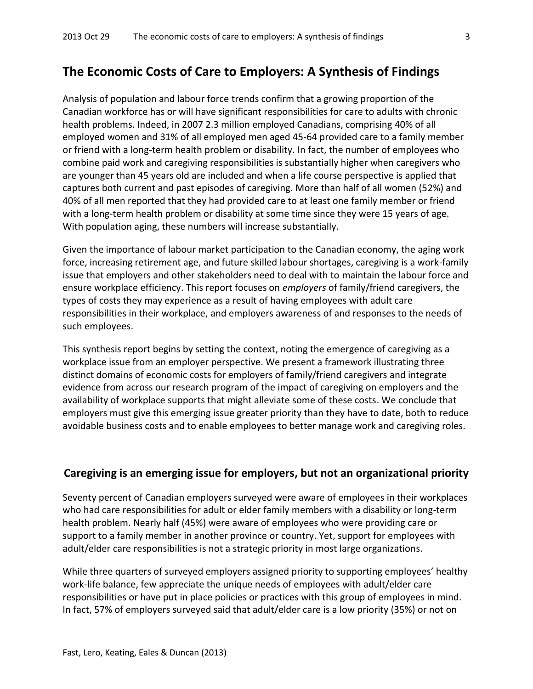## **The Economic Costs of Care to Employers: A Synthesis of Findings**

Analysis of population and labour force trends confirm that a growing proportion of the Canadian workforce has or will have significant responsibilities for care to adults with chronic health problems. Indeed, in 2007 2.3 million employed Canadians, comprising 40% of all employed women and 31% of all employed men aged 45-64 provided care to a family member or friend with a long-term health problem or disability. In fact, the number of employees who combine paid work and caregiving responsibilities is substantially higher when caregivers who are younger than 45 years old are included and when a life course perspective is applied that captures both current and past episodes of caregiving. More than half of all women (52%) and 40% of all men reported that they had provided care to at least one family member or friend with a long-term health problem or disability at some time since they were 15 years of age. With population aging, these numbers will increase substantially.

Given the importance of labour market participation to the Canadian economy, the aging work force, increasing retirement age, and future skilled labour shortages, caregiving is a work-family issue that employers and other stakeholders need to deal with to maintain the labour force and ensure workplace efficiency. This report focuses on *employers* of family/friend caregivers, the types of costs they may experience as a result of having employees with adult care responsibilities in their workplace, and employers awareness of and responses to the needs of such employees.

This synthesis report begins by setting the context, noting the emergence of caregiving as a workplace issue from an employer perspective. We present a framework illustrating three distinct domains of economic costs for employers of family/friend caregivers and integrate evidence from across our research program of the impact of caregiving on employers and the availability of workplace supports that might alleviate some of these costs. We conclude that employers must give this emerging issue greater priority than they have to date, both to reduce avoidable business costs and to enable employees to better manage work and caregiving roles.

## **Caregiving is an emerging issue for employers, but not an organizational priority**

Seventy percent of Canadian employers surveyed were aware of employees in their workplaces who had care responsibilities for adult or elder family members with a disability or long-term health problem. Nearly half (45%) were aware of employees who were providing care or support to a family member in another province or country. Yet, support for employees with adult/elder care responsibilities is not a strategic priority in most large organizations.

While three quarters of surveyed employers assigned priority to supporting employees' healthy work-life balance, few appreciate the unique needs of employees with adult/elder care responsibilities or have put in place policies or practices with this group of employees in mind. In fact, 57% of employers surveyed said that adult/elder care is a low priority (35%) or not on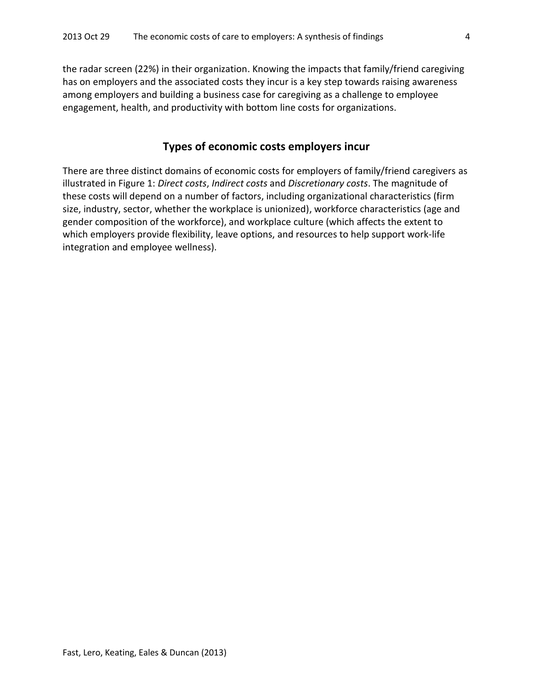the radar screen (22%) in their organization. Knowing the impacts that family/friend caregiving has on employers and the associated costs they incur is a key step towards raising awareness among employers and building a business case for caregiving as a challenge to employee engagement, health, and productivity with bottom line costs for organizations.

## **Types of economic costs employers incur**

There are three distinct domains of economic costs for employers of family/friend caregivers as illustrated in Figure 1: *Direct costs*, *Indirect costs* and *Discretionary costs*. The magnitude of these costs will depend on a number of factors, including organizational characteristics (firm size, industry, sector, whether the workplace is unionized), workforce characteristics (age and gender composition of the workforce), and workplace culture (which affects the extent to which employers provide flexibility, leave options, and resources to help support work-life integration and employee wellness).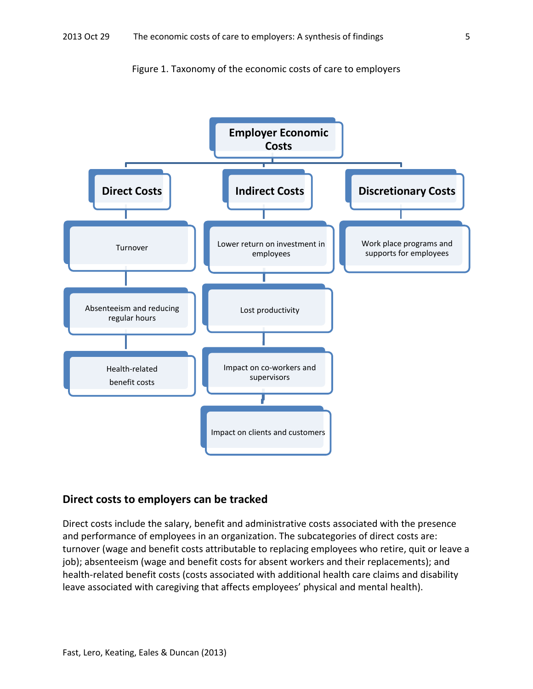



## **Direct costs to employers can be tracked**

Direct costs include the salary, benefit and administrative costs associated with the presence and performance of employees in an organization. The subcategories of direct costs are: turnover (wage and benefit costs attributable to replacing employees who retire, quit or leave a job); absenteeism (wage and benefit costs for absent workers and their replacements); and health-related benefit costs (costs associated with additional health care claims and disability leave associated with caregiving that affects employees' physical and mental health).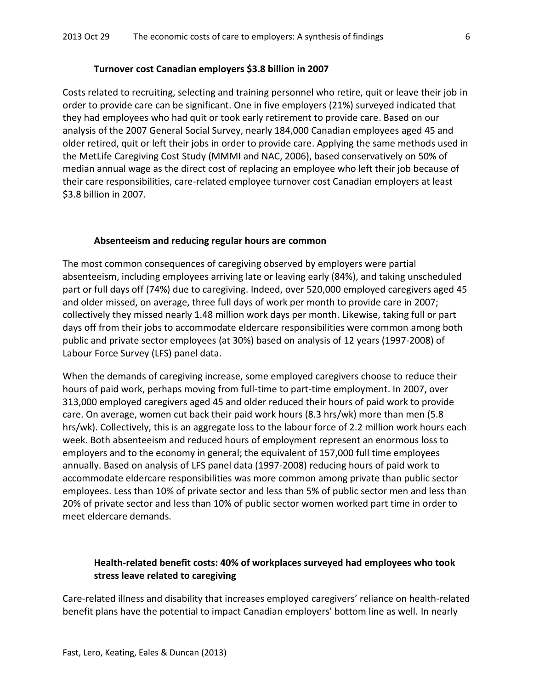#### **Turnover cost Canadian employers \$3.8 billion in 2007**

Costs related to recruiting, selecting and training personnel who retire, quit or leave their job in order to provide care can be significant. One in five employers (21%) surveyed indicated that they had employees who had quit or took early retirement to provide care. Based on our analysis of the 2007 General Social Survey, nearly 184,000 Canadian employees aged 45 and older retired, quit or left their jobs in order to provide care. Applying the same methods used in the MetLife Caregiving Cost Study (MMMI and NAC, 2006), based conservatively on 50% of median annual wage as the direct cost of replacing an employee who left their job because of their care responsibilities, care-related employee turnover cost Canadian employers at least \$3.8 billion in 2007.

#### **Absenteeism and reducing regular hours are common**

The most common consequences of caregiving observed by employers were partial absenteeism, including employees arriving late or leaving early (84%), and taking unscheduled part or full days off (74%) due to caregiving. Indeed, over 520,000 employed caregivers aged 45 and older missed, on average, three full days of work per month to provide care in 2007; collectively they missed nearly 1.48 million work days per month. Likewise, taking full or part days off from their jobs to accommodate eldercare responsibilities were common among both public and private sector employees (at 30%) based on analysis of 12 years (1997-2008) of Labour Force Survey (LFS) panel data.

When the demands of caregiving increase, some employed caregivers choose to reduce their hours of paid work, perhaps moving from full-time to part-time employment. In 2007, over 313,000 employed caregivers aged 45 and older reduced their hours of paid work to provide care. On average, women cut back their paid work hours (8.3 hrs/wk) more than men (5.8 hrs/wk). Collectively, this is an aggregate loss to the labour force of 2.2 million work hours each week. Both absenteeism and reduced hours of employment represent an enormous loss to employers and to the economy in general; the equivalent of 157,000 full time employees annually. Based on analysis of LFS panel data (1997-2008) reducing hours of paid work to accommodate eldercare responsibilities was more common among private than public sector employees. Less than 10% of private sector and less than 5% of public sector men and less than 20% of private sector and less than 10% of public sector women worked part time in order to meet eldercare demands.

### **Health-related benefit costs: 40% of workplaces surveyed had employees who took stress leave related to caregiving**

Care-related illness and disability that increases employed caregivers' reliance on health-related benefit plans have the potential to impact Canadian employers' bottom line as well. In nearly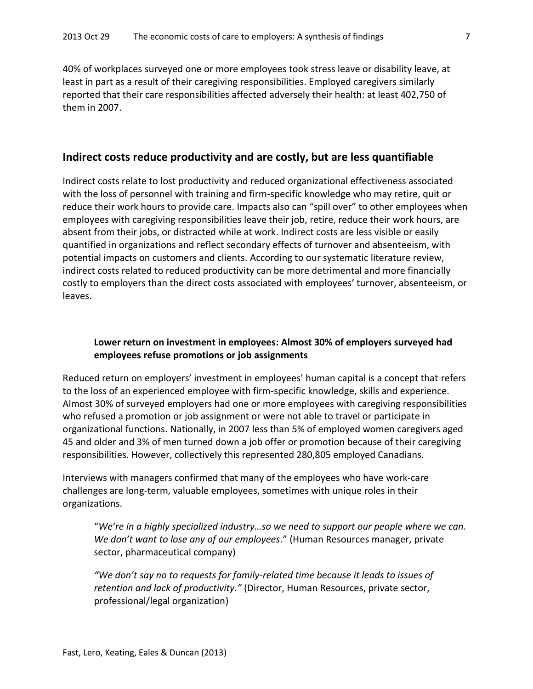40% of workplaces surveyed one or more employees took stress leave or disability leave, at least in part as a result of their caregiving responsibilities. Employed caregivers similarly reported that their care responsibilities affected adversely their health: at least 402,750 of them in 2007.

### **Indirect costs reduce productivity and are costly, but are less quantifiable**

Indirect costs relate to lost productivity and reduced organizational effectiveness associated with the loss of personnel with training and firm-specific knowledge who may retire, quit or reduce their work hours to provide care. Impacts also can "spill over" to other employees when employees with caregiving responsibilities leave their job, retire, reduce their work hours, are absent from their jobs, or distracted while at work. Indirect costs are less visible or easily quantified in organizations and reflect secondary effects of turnover and absenteeism, with potential impacts on customers and clients. According to our systematic literature review, indirect costs related to reduced productivity can be more detrimental and more financially costly to employers than the direct costs associated with employees' turnover, absenteeism, or leaves.

### **Lower return on investment in employees: Almost 30% of employers surveyed had employees refuse promotions or job assignments**

Reduced return on employers' investment in employees' human capital is a concept that refers to the loss of an experienced employee with firm-specific knowledge, skills and experience. Almost 30% of surveyed employers had one or more employees with caregiving responsibilities who refused a promotion or job assignment or were not able to travel or participate in organizational functions. Nationally, in 2007 less than 5% of employed women caregivers aged 45 and older and 3% of men turned down a job offer or promotion because of their caregiving responsibilities. However, collectively this represented 280,805 employed Canadians.

Interviews with managers confirmed that many of the employees who have work-care challenges are long-term, valuable employees, sometimes with unique roles in their organizations.

"*We're in a highly specialized industry…so we need to support our people where we can. We don't want to lose any of our employees*." (Human Resources manager, private sector, pharmaceutical company)

*"We don't say no to requests for family-related time because it leads to issues of retention and lack of productivity."* (Director, Human Resources, private sector, professional/legal organization)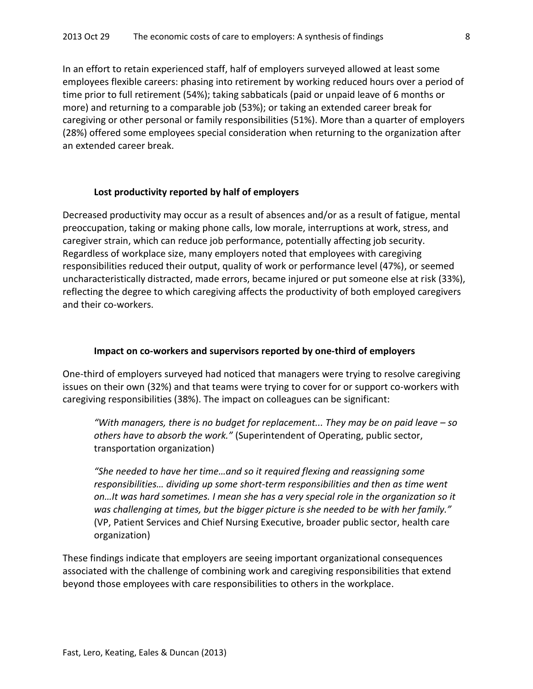In an effort to retain experienced staff, half of employers surveyed allowed at least some employees flexible careers: phasing into retirement by working reduced hours over a period of time prior to full retirement (54%); taking sabbaticals (paid or unpaid leave of 6 months or more) and returning to a comparable job (53%); or taking an extended career break for caregiving or other personal or family responsibilities (51%). More than a quarter of employers (28%) offered some employees special consideration when returning to the organization after an extended career break.

#### **Lost productivity reported by half of employers**

Decreased productivity may occur as a result of absences and/or as a result of fatigue, mental preoccupation, taking or making phone calls, low morale, interruptions at work, stress, and caregiver strain, which can reduce job performance, potentially affecting job security. Regardless of workplace size, many employers noted that employees with caregiving responsibilities reduced their output, quality of work or performance level (47%), or seemed uncharacteristically distracted, made errors, became injured or put someone else at risk (33%), reflecting the degree to which caregiving affects the productivity of both employed caregivers and their co-workers.

#### **Impact on co-workers and supervisors reported by one-third of employers**

One-third of employers surveyed had noticed that managers were trying to resolve caregiving issues on their own (32%) and that teams were trying to cover for or support co-workers with caregiving responsibilities (38%). The impact on colleagues can be significant:

*"With managers, there is no budget for replacement... They may be on paid leave – so others have to absorb the work."* (Superintendent of Operating, public sector, transportation organization)

*"She needed to have her time…and so it required flexing and reassigning some responsibilities… dividing up some short-term responsibilities and then as time went on…It was hard sometimes. I mean she has a very special role in the organization so it was challenging at times, but the bigger picture is she needed to be with her family."*  (VP, Patient Services and Chief Nursing Executive, broader public sector, health care organization)

These findings indicate that employers are seeing important organizational consequences associated with the challenge of combining work and caregiving responsibilities that extend beyond those employees with care responsibilities to others in the workplace.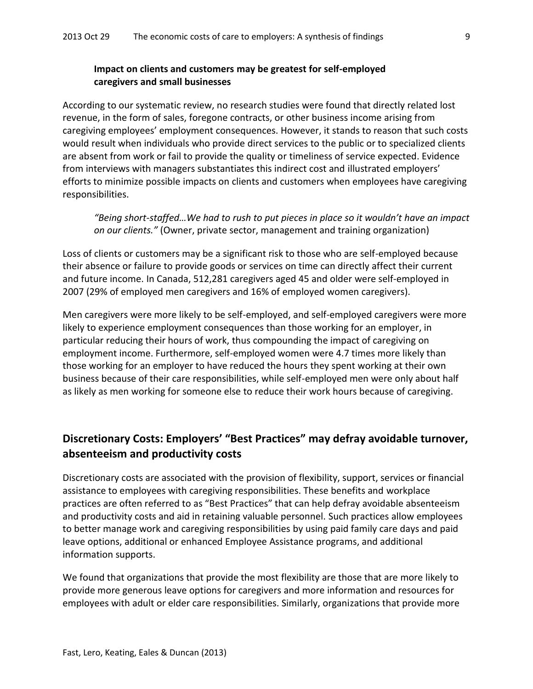## **Impact on clients and customers may be greatest for self-employed caregivers and small businesses**

According to our systematic review, no research studies were found that directly related lost revenue, in the form of sales, foregone contracts, or other business income arising from caregiving employees' employment consequences. However, it stands to reason that such costs would result when individuals who provide direct services to the public or to specialized clients are absent from work or fail to provide the quality or timeliness of service expected. Evidence from interviews with managers substantiates this indirect cost and illustrated employers' efforts to minimize possible impacts on clients and customers when employees have caregiving responsibilities.

*"Being short-staffed…We had to rush to put pieces in place so it wouldn't have an impact on our clients."* (Owner, private sector, management and training organization)

Loss of clients or customers may be a significant risk to those who are self-employed because their absence or failure to provide goods or services on time can directly affect their current and future income. In Canada, 512,281 caregivers aged 45 and older were self-employed in 2007 (29% of employed men caregivers and 16% of employed women caregivers).

Men caregivers were more likely to be self-employed, and self-employed caregivers were more likely to experience employment consequences than those working for an employer, in particular reducing their hours of work, thus compounding the impact of caregiving on employment income. Furthermore, self-employed women were 4.7 times more likely than those working for an employer to have reduced the hours they spent working at their own business because of their care responsibilities, while self-employed men were only about half as likely as men working for someone else to reduce their work hours because of caregiving.

## **Discretionary Costs: Employers' "Best Practices" may defray avoidable turnover, absenteeism and productivity costs**

Discretionary costs are associated with the provision of flexibility, support, services or financial assistance to employees with caregiving responsibilities. These benefits and workplace practices are often referred to as "Best Practices" that can help defray avoidable absenteeism and productivity costs and aid in retaining valuable personnel. Such practices allow employees to better manage work and caregiving responsibilities by using paid family care days and paid leave options, additional or enhanced Employee Assistance programs, and additional information supports.

We found that organizations that provide the most flexibility are those that are more likely to provide more generous leave options for caregivers and more information and resources for employees with adult or elder care responsibilities. Similarly, organizations that provide more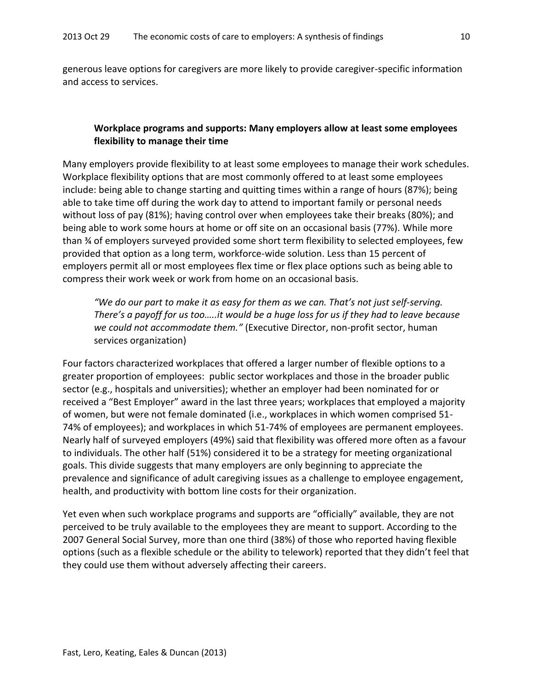generous leave options for caregivers are more likely to provide caregiver-specific information and access to services.

## **Workplace programs and supports: Many employers allow at least some employees flexibility to manage their time**

Many employers provide flexibility to at least some employees to manage their work schedules. Workplace flexibility options that are most commonly offered to at least some employees include: being able to change starting and quitting times within a range of hours (87%); being able to take time off during the work day to attend to important family or personal needs without loss of pay (81%); having control over when employees take their breaks (80%); and being able to work some hours at home or off site on an occasional basis (77%). While more than ¾ of employers surveyed provided some short term flexibility to selected employees, few provided that option as a long term, workforce-wide solution. Less than 15 percent of employers permit all or most employees flex time or flex place options such as being able to compress their work week or work from home on an occasional basis.

*"We do our part to make it as easy for them as we can. That's not just self-serving. There's a payoff for us too…..it would be a huge loss for us if they had to leave because we could not accommodate them."* (Executive Director, non-profit sector, human services organization)

Four factors characterized workplaces that offered a larger number of flexible options to a greater proportion of employees: public sector workplaces and those in the broader public sector (e.g., hospitals and universities); whether an employer had been nominated for or received a "Best Employer" award in the last three years; workplaces that employed a majority of women, but were not female dominated (i.e., workplaces in which women comprised 51- 74% of employees); and workplaces in which 51-74% of employees are permanent employees. Nearly half of surveyed employers (49%) said that flexibility was offered more often as a favour to individuals. The other half (51%) considered it to be a strategy for meeting organizational goals. This divide suggests that many employers are only beginning to appreciate the prevalence and significance of adult caregiving issues as a challenge to employee engagement, health, and productivity with bottom line costs for their organization.

Yet even when such workplace programs and supports are "officially" available, they are not perceived to be truly available to the employees they are meant to support. According to the 2007 General Social Survey, more than one third (38%) of those who reported having flexible options (such as a flexible schedule or the ability to telework) reported that they didn't feel that they could use them without adversely affecting their careers.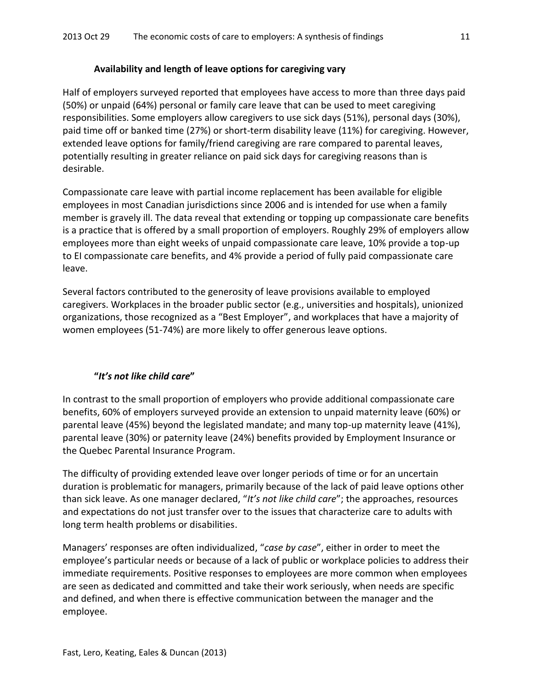## **Availability and length of leave options for caregiving vary**

Half of employers surveyed reported that employees have access to more than three days paid (50%) or unpaid (64%) personal or family care leave that can be used to meet caregiving responsibilities. Some employers allow caregivers to use sick days (51%), personal days (30%), paid time off or banked time (27%) or short-term disability leave (11%) for caregiving. However, extended leave options for family/friend caregiving are rare compared to parental leaves, potentially resulting in greater reliance on paid sick days for caregiving reasons than is desirable.

Compassionate care leave with partial income replacement has been available for eligible employees in most Canadian jurisdictions since 2006 and is intended for use when a family member is gravely ill. The data reveal that extending or topping up compassionate care benefits is a practice that is offered by a small proportion of employers. Roughly 29% of employers allow employees more than eight weeks of unpaid compassionate care leave, 10% provide a top-up to EI compassionate care benefits, and 4% provide a period of fully paid compassionate care leave.

Several factors contributed to the generosity of leave provisions available to employed caregivers. Workplaces in the broader public sector (e.g., universities and hospitals), unionized organizations, those recognized as a "Best Employer", and workplaces that have a majority of women employees (51-74%) are more likely to offer generous leave options.

## **"***It's not like child care***"**

In contrast to the small proportion of employers who provide additional compassionate care benefits, 60% of employers surveyed provide an extension to unpaid maternity leave (60%) or parental leave (45%) beyond the legislated mandate; and many top-up maternity leave (41%), parental leave (30%) or paternity leave (24%) benefits provided by Employment Insurance or the Quebec Parental Insurance Program.

The difficulty of providing extended leave over longer periods of time or for an uncertain duration is problematic for managers, primarily because of the lack of paid leave options other than sick leave. As one manager declared, "*It's not like child care*"; the approaches, resources and expectations do not just transfer over to the issues that characterize care to adults with long term health problems or disabilities.

Managers' responses are often individualized, "*case by case*", either in order to meet the employee's particular needs or because of a lack of public or workplace policies to address their immediate requirements. Positive responses to employees are more common when employees are seen as dedicated and committed and take their work seriously, when needs are specific and defined, and when there is effective communication between the manager and the employee.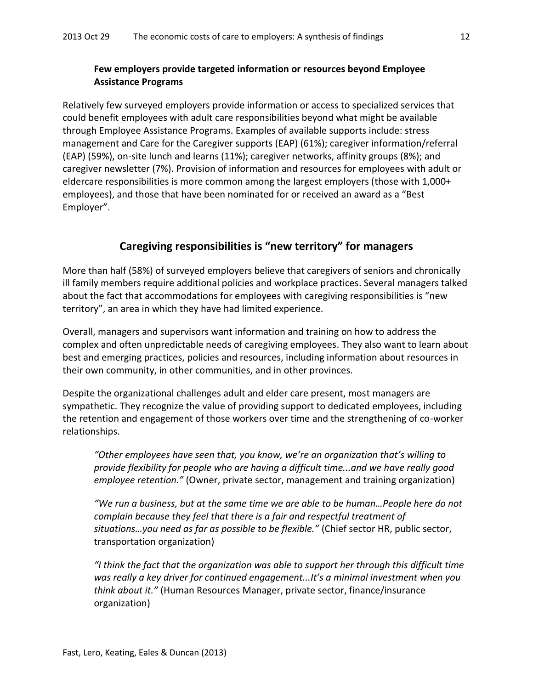## **Few employers provide targeted information or resources beyond Employee Assistance Programs**

Relatively few surveyed employers provide information or access to specialized services that could benefit employees with adult care responsibilities beyond what might be available through Employee Assistance Programs. Examples of available supports include: stress management and Care for the Caregiver supports (EAP) (61%); caregiver information/referral (EAP) (59%), on-site lunch and learns (11%); caregiver networks, affinity groups (8%); and caregiver newsletter (7%). Provision of information and resources for employees with adult or eldercare responsibilities is more common among the largest employers (those with 1,000+ employees), and those that have been nominated for or received an award as a "Best Employer".

## **Caregiving responsibilities is "new territory" for managers**

More than half (58%) of surveyed employers believe that caregivers of seniors and chronically ill family members require additional policies and workplace practices. Several managers talked about the fact that accommodations for employees with caregiving responsibilities is "new territory", an area in which they have had limited experience.

Overall, managers and supervisors want information and training on how to address the complex and often unpredictable needs of caregiving employees. They also want to learn about best and emerging practices, policies and resources, including information about resources in their own community, in other communities, and in other provinces.

Despite the organizational challenges adult and elder care present, most managers are sympathetic. They recognize the value of providing support to dedicated employees, including the retention and engagement of those workers over time and the strengthening of co-worker relationships.

*"Other employees have seen that, you know, we're an organization that's willing to provide flexibility for people who are having a difficult time...and we have really good employee retention."* (Owner, private sector, management and training organization)

*"We run a business, but at the same time we are able to be human…People here do not complain because they feel that there is a fair and respectful treatment of situations…you need as far as possible to be flexible."* (Chief sector HR, public sector, transportation organization)

*"I think the fact that the organization was able to support her through this difficult time was really a key driver for continued engagement...It's a minimal investment when you think about it."* (Human Resources Manager, private sector, finance/insurance organization)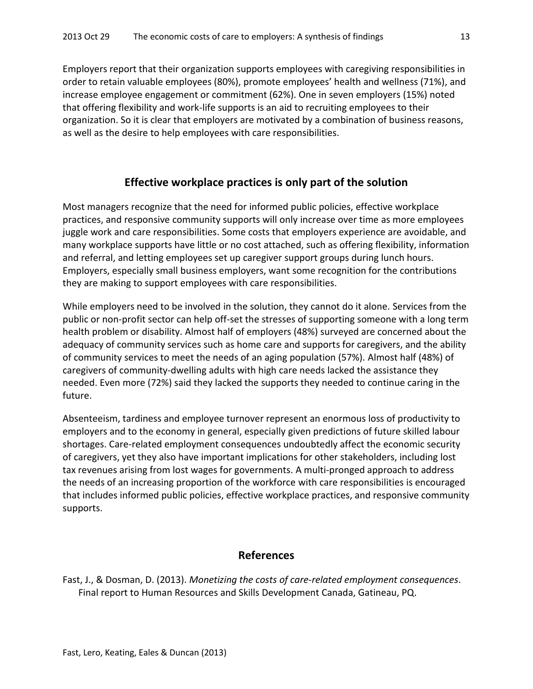Employers report that their organization supports employees with caregiving responsibilities in order to retain valuable employees (80%), promote employees' health and wellness (71%), and increase employee engagement or commitment (62%). One in seven employers (15%) noted that offering flexibility and work-life supports is an aid to recruiting employees to their organization. So it is clear that employers are motivated by a combination of business reasons, as well as the desire to help employees with care responsibilities.

## **Effective workplace practices is only part of the solution**

Most managers recognize that the need for informed public policies, effective workplace practices, and responsive community supports will only increase over time as more employees juggle work and care responsibilities. Some costs that employers experience are avoidable, and many workplace supports have little or no cost attached, such as offering flexibility, information and referral, and letting employees set up caregiver support groups during lunch hours. Employers, especially small business employers, want some recognition for the contributions they are making to support employees with care responsibilities.

While employers need to be involved in the solution, they cannot do it alone. Services from the public or non-profit sector can help off-set the stresses of supporting someone with a long term health problem or disability. Almost half of employers (48%) surveyed are concerned about the adequacy of community services such as home care and supports for caregivers, and the ability of community services to meet the needs of an aging population (57%). Almost half (48%) of caregivers of community-dwelling adults with high care needs lacked the assistance they needed. Even more (72%) said they lacked the supports they needed to continue caring in the future.

Absenteeism, tardiness and employee turnover represent an enormous loss of productivity to employers and to the economy in general, especially given predictions of future skilled labour shortages. Care-related employment consequences undoubtedly affect the economic security of caregivers, yet they also have important implications for other stakeholders, including lost tax revenues arising from lost wages for governments. A multi-pronged approach to address the needs of an increasing proportion of the workforce with care responsibilities is encouraged that includes informed public policies, effective workplace practices, and responsive community supports.

## **References**

Fast, J., & Dosman, D. (2013). *Monetizing the costs of care-related employment consequences*. Final report to Human Resources and Skills Development Canada, Gatineau, PQ.